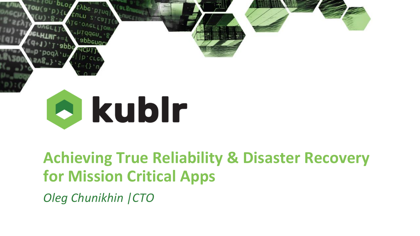

## **Achieving True Reliability & Disaster Recovery for Mission Critical Apps**

*Oleg Chunikhin |CTO*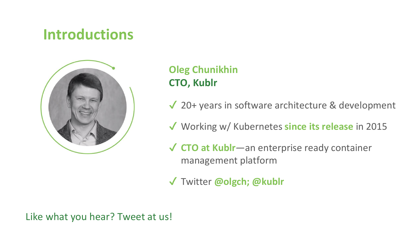## **Introductions**



#### **Oleg Chunikhin CTO, Kublr**

- ◆ 20+ years in software architecture & development
- ✔ Working w/ Kubernetes **since its release** in 2015
- ✔ **CTO at Kublr**—an enterprise ready container management platform
- ✔ Twitter **@olgch; @kublr**

#### Like what you hear? Tweet at us!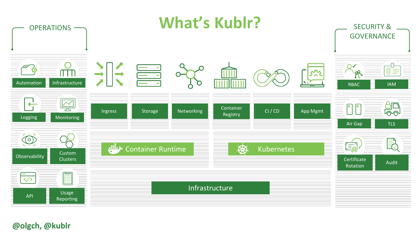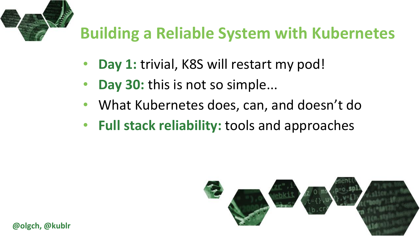

## **Building a Reliable System with Kubernetes**

- Day 1: trivial, K8S will restart my pod!
- **Day 30:** this is not so simple...
- What Kubernetes does, can, and doesn't do
- **Full stack reliability:** tools and approaches

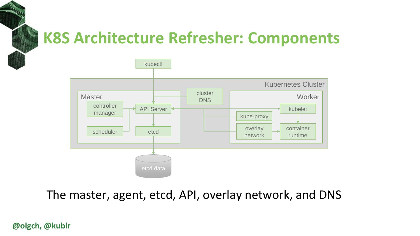## **K8S Architecture Refresher: Components**



The master, agent, etcd, API, overlay network, and DNS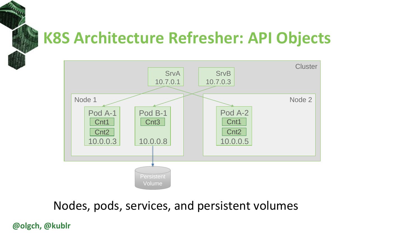## **K8S Architecture Refresher: API Objects**



#### Nodes, pods, services, and persistent volumes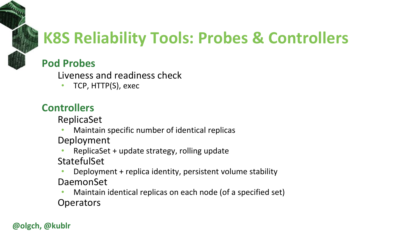## **K8S Reliability Tools: Probes & Controllers**

#### **Pod Probes**

Liveness and readiness check

• TCP, HTTP(S), exec

#### **Controllers**

ReplicaSet

- Maintain specific number of identical replicas
- Deployment
- ReplicaSet + update strategy, rolling update
- **StatefulSet**
- Deployment + replica identity, persistent volume stability DaemonSet
- Maintain identical replicas on each node (of a specified set) **Operators**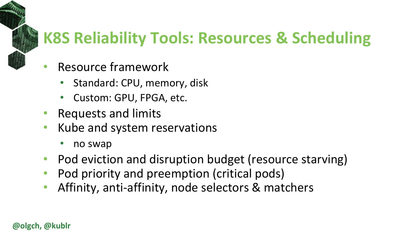## **K8S Reliability Tools: Resources & Scheduling**

- Resource framework
	- Standard: CPU, memory, disk
	- Custom: GPU, FPGA, etc.
- Requests and limits
- Kube and system reservations
	- no swap
- Pod eviction and disruption budget (resource starving)
- Pod priority and preemption (critical pods)
- Affinity, anti-affinity, node selectors & matchers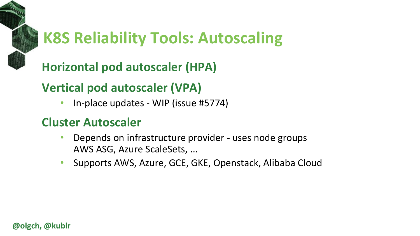## **K8S Reliability Tools: Autoscaling**

### **Horizontal pod autoscaler (HPA)**

### **Vertical pod autoscaler (VPA)**

• In-place updates - WIP (issue #5774)

### **Cluster Autoscaler**

- Depends on infrastructure provider uses node groups AWS ASG, Azure ScaleSets, ...
- Supports AWS, Azure, GCE, GKE, Openstack, Alibaba Cloud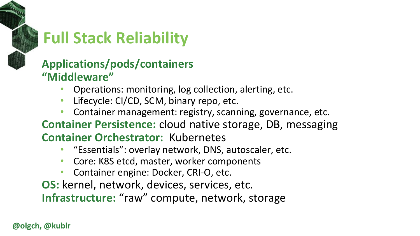## **Full Stack Reliability**

### **Applications/pods/containers "Middleware"**

- Operations: monitoring, log collection, alerting, etc.
- Lifecycle: CI/CD, SCM, binary repo, etc.
- Container management: registry, scanning, governance, etc.
- **Container Persistence:** cloud native storage, DB, messaging **Container Orchestrator:** Kubernetes
	- "Essentials": overlay network, DNS, autoscaler, etc.
	- Core: K8S etcd, master, worker components
	- Container engine: Docker, CRI-O, etc.

**OS:** kernel, network, devices, services, etc. **Infrastructure:** "raw" compute, network, storage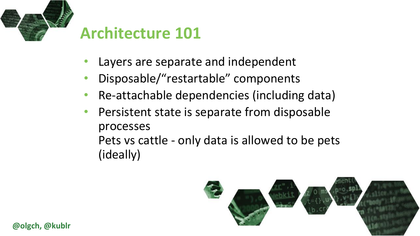

## **Architecture 101**

- Layers are separate and independent
- Disposable/"restartable" components
- Re-attachable dependencies (including data)
- Persistent state is separate from disposable processes Pets vs cattle - only data is allowed to be pets (ideally)

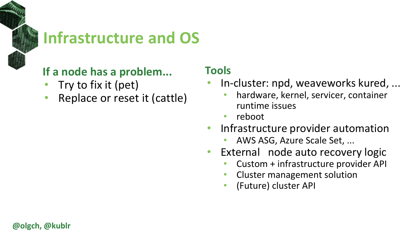## **Infrastructure and OS**

#### **If a node has a problem...**

- Try to fix it (pet)
- Replace or reset it (cattle)

#### **Tools**

- In-cluster: npd, weaveworks kured, ...
	- hardware, kernel, servicer, container runtime issues
	- reboot
- Infrastructure provider automation
	- AWS ASG, Azure Scale Set, ...
- External node auto recovery logic
	- Custom + infrastructure provider API
	- Cluster management solution
	- (Future) cluster API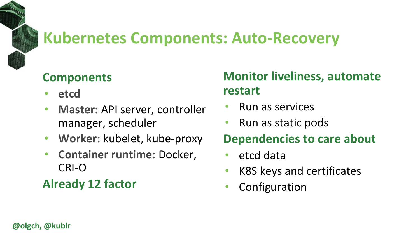## **Kubernetes Components: Auto-Recovery**

### **Components**

- **etcd**
- **Master:** API server, controller manager, scheduler
- Worker: kubelet, kube-proxy
- **Container runtime:** Docker, CRI-O

**Already 12 factor**

### **Monitor liveliness, automate restart**

- Run as services
- Run as static pods

### **Dependencies to care about**

- etcd data
- K8S keys and certificates
- Configuration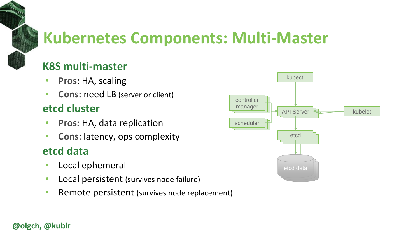## **Kubernetes Components: Multi-Master**

#### **K8S multi-master**

- **Pros**: HA, scaling
- **Cons:** need LB (server or client)

#### **etcd cluster**

- **Pros:** HA, data replication
- **Cons**: latency, ops complexity

#### **etcd data**

- Local ephemeral
- Local persistent (survives node failure)
- Remote persistent (survives node replacement)

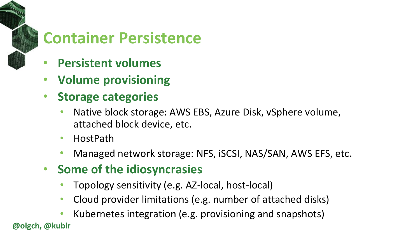## **Container Persistence**

- **Persistent volumes**
- **Volume provisioning**
- **Storage categories**
	- Native block storage: AWS EBS, Azure Disk, vSphere volume, attached block device, etc.
	- HostPath
	- Managed network storage: NFS, iSCSI, NAS/SAN, AWS EFS, etc.
- **Some of the idiosyncrasies**
	- Topology sensitivity (e.g. AZ-local, host-local)
	- Cloud provider limitations (e.g. number of attached disks)
	- Kubernetes integration (e.g. provisioning and snapshots)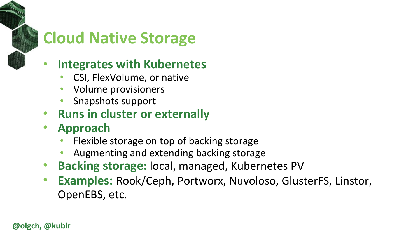## **Cloud Native Storage**

### • **Integrates with Kubernetes**

- CSI, FlexVolume, or native
- Volume provisioners
- Snapshots support
- **Runs in cluster or externally**
- **Approach**
	- Flexible storage on top of backing storage
	- Augmenting and extending backing storage
- **Backing storage:** local, managed, Kubernetes PV
- **Examples:** Rook/Ceph, Portworx, Nuvoloso, GlusterFS, Linstor, OpenEBS, etc.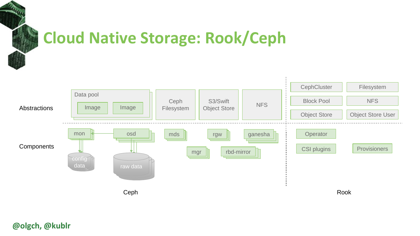

## **Cloud Native Storage: Rook/Ceph**

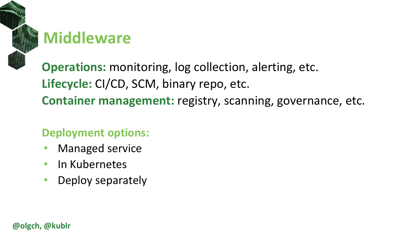## **Middleware**

**Operations:** monitoring, log collection, alerting, etc. **Lifecycle:** CI/CD, SCM, binary repo, etc. **Container management:** registry, scanning, governance, etc.

### **Deployment options:**

- Managed service
- In Kubernetes
- Deploy separately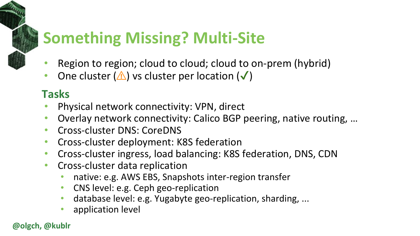## **Something Missing? Multi-Site**

- Region to region; cloud to cloud; cloud to on-prem (hybrid)
- One cluster  $(\triangle)$  vs cluster per location  $(\sqrt)$

#### **Tasks**

- Physical network connectivity: VPN, direct
- Overlay network connectivity: Calico BGP peering, native routing, …
- Cross-cluster DNS: CoreDNS
- Cross-cluster deployment: K8S federation
- Cross-cluster ingress, load balancing: K8S federation, DNS, CDN
- Cross-cluster data replication
	- native: e.g. AWS EBS, Snapshots inter-region transfer
	- CNS level: e.g. Ceph geo-replication
	- database level: e.g. Yugabyte geo-replication, sharding, ...
	- application level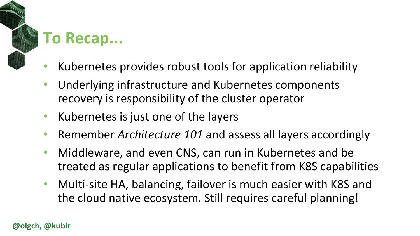## **To Recap...**

- Kubernetes provides robust tools for application reliability
- Underlying infrastructure and Kubernetes components recovery is responsibility of the cluster operator
- Kubernetes is just one of the layers
- Remember *Architecture 101* and assess all layers accordingly
- Middleware, and even CNS, can run in Kubernetes and be treated as regular applications to benefit from K8S capabilities
- Multi-site HA, balancing, failover is much easier with K8S and the cloud native ecosystem. Still requires careful planning!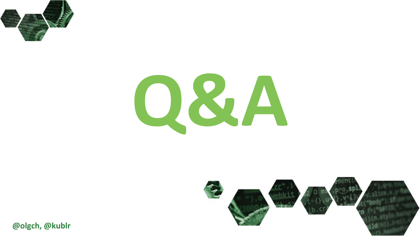